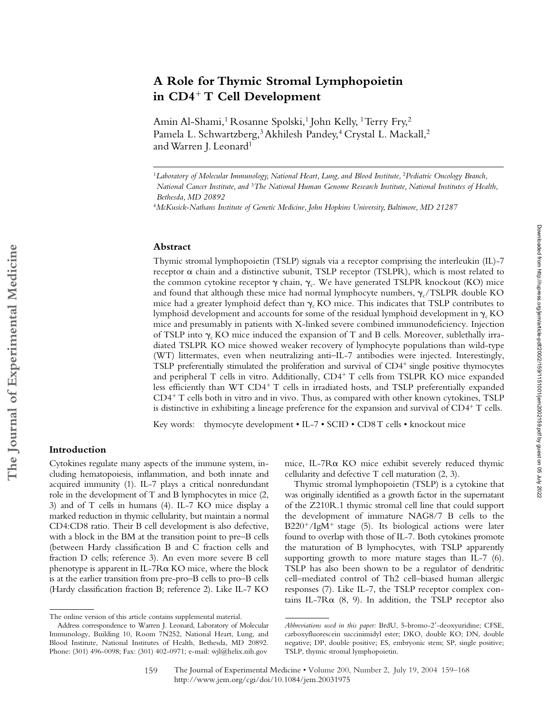# **A Role for Thymic Stromal Lymphopoietin in CD4**- **T Cell Development**

Amin Al-Shami,<sup>1</sup> Rosanne Spolski,<sup>1</sup> John Kelly, <sup>1</sup> Terry Fry,<sup>2</sup> Pamela L. Schwartzberg,<sup>3</sup> Akhilesh Pandey,<sup>4</sup> Crystal L. Mackall,<sup>2</sup> and Warren J. Leonard<sup>1</sup>

#### **Abstract**

Thymic stromal lymphopoietin (TSLP) signals via a receptor comprising the interleukin (IL)-7 receptor  $\alpha$  chain and a distinctive subunit, TSLP receptor (TSLPR), which is most related to the common cytokine receptor  $\gamma$  chain,  $\gamma_c$ . We have generated TSLPR knockout (KO) mice and found that although these mice had normal lymphocyte numbers,  $\gamma_c$ /TSLPR double KO mice had a greater lymphoid defect than  $\gamma_c$  KO mice. This indicates that TSLP contributes to lymphoid development and accounts for some of the residual lymphoid development in  $\gamma_r KO$ mice and presumably in patients with X-linked severe combined immunodeficiency. Injection of TSLP into  $\gamma$ . KO mice induced the expansion of T and B cells. Moreover, sublethally irradiated TSLPR KO mice showed weaker recovery of lymphocyte populations than wild-type (WT) littermates, even when neutralizing anti–IL-7 antibodies were injected. Interestingly, TSLP preferentially stimulated the proliferation and survival of CD4<sup>+</sup> single positive thymocytes and peripheral T cells in vitro. Additionally, CD4<sup>+</sup> T cells from TSLPR KO mice expanded less efficiently than WT CD4<sup>+</sup> T cells in irradiated hosts, and TSLP preferentially expanded CD4- T cells both in vitro and in vivo. Thus, as compared with other known cytokines, TSLP is distinctive in exhibiting a lineage preference for the expansion and survival of CD4<sup>+</sup> T cells.

Key words: thymocyte development • IL-7 • SCID • CD8T cells • knockout mice

# **Introduction**

Cytokines regulate many aspects of the immune system, including hematopoiesis, inflammation, and both innate and acquired immunity (1). IL-7 plays a critical nonredundant role in the development of T and B lymphocytes in mice (2, 3) and of T cells in humans (4). IL-7 KO mice display a marked reduction in thymic cellularity, but maintain a normal CD4:CD8 ratio. Their B cell development is also defective, with a block in the BM at the transition point to pre–B cells (between Hardy classification B and C fraction cells and fraction D cells; reference 3). An even more severe B cell phenotype is apparent in IL-7 $R\alpha$  KO mice, where the block is at the earlier transition from pre-pro–B cells to pro–B cells (Hardy classification fraction B; reference 2). Like IL-7 KO

mice, IL-7R $\alpha$  KO mice exhibit severely reduced thymic cellularity and defective T cell maturation (2, 3).

Thymic stromal lymphopoietin (TSLP) is a cytokine that was originally identified as a growth factor in the supernatant of the Z210R.1 thymic stromal cell line that could support the development of immature NAG8/7 B cells to the B220<sup>+</sup>/IgM<sup>+</sup> stage (5). Its biological actions were later found to overlap with those of IL-7. Both cytokines promote the maturation of B lymphocytes, with TSLP apparently supporting growth to more mature stages than IL-7 (6). TSLP has also been shown to be a regulator of dendritic cell–mediated control of Th2 cell–biased human allergic responses (7). Like IL-7, the TSLP receptor complex contains IL-7 $R\alpha$  (8, 9). In addition, the TSLP receptor also

<sup>&</sup>lt;sup>1</sup>Laboratory of Molecular Immunology, National Heart, Lung, and Blood Institute, <sup>2</sup>Pediatric Oncology Branch, *National Cancer Institute, and* <sup>3</sup>*The National Human Genome Research Institute, National Institutes of Health, Bethesda, MD 20892*

<sup>4</sup>*McKusick-Nathans Institute of Genetic Medicine, John Hopkins University, Baltimore, MD 21287*

The online version of this article contains supplemental material.

Address correspondence to Warren J. Leonard, Laboratory of Molecular Immunology, Building 10, Room 7N252, National Heart, Lung, and Blood Institute, National Institutes of Health, Bethesda, MD 20892. Phone: (301) 496-0098; Fax: (301) 402-0971; e-mail: wjl@helix.nih.gov

*Abbreviations used in this paper:* BrdU, 5-bromo-2-deoxyuridine; CFSE, carboxyfluorescein succinimidyl ester; DKO, double KO; DN, double negative; DP, double positive; ES, embryonic stem; SP, single positive; TSLP, thymic stromal lymphopoietin.

The Journal of Experimental Medicine • Volume 200, Number 2, July 19, 2004 159–168 http://www.jem.org/cgi/doi/10.1084/jem.20031975 159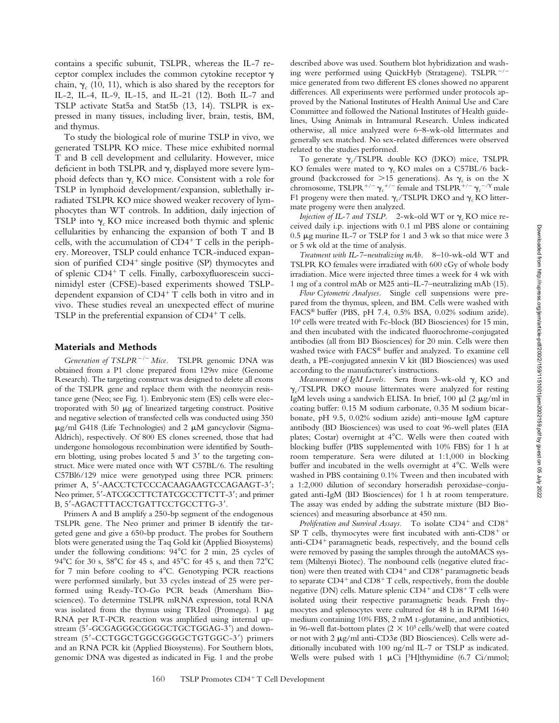contains a specific subunit, TSLPR, whereas the IL-7 receptor complex includes the common cytokine receptor  $\gamma$ chain,  $\gamma_c$  (10, 11), which is also shared by the receptors for IL-2, IL-4, IL-9, IL-15, and IL-21 (12). Both IL-7 and TSLP activate Stat5a and Stat5b (13, 14). TSLPR is expressed in many tissues, including liver, brain, testis, BM, and thymus.

To study the biological role of murine TSLP in vivo, we generated TSLPR KO mice. These mice exhibited normal T and B cell development and cellularity. However, mice deficient in both TSLPR and  $\gamma_c$  displayed more severe lymphoid defects than  $\gamma_c$  KO mice. Consistent with a role for TSLP in lymphoid development/expansion, sublethally irradiated TSLPR KO mice showed weaker recovery of lymphocytes than WT controls. In addition, daily injection of TSLP into  $\gamma_c$  KO mice increased both thymic and splenic cellularities by enhancing the expansion of both T and B cells, with the accumulation of CD4<sup>+</sup> T cells in the periphery. Moreover, TSLP could enhance TCR-induced expansion of purified CD4<sup>+</sup> single positive (SP) thymocytes and of splenic CD4<sup>+</sup> T cells. Finally, carboxyfluorescein succinimidyl ester (CFSE)-based experiments showed TSLPdependent expansion of CD4- T cells both in vitro and in vivo. These studies reveal an unexpected effect of murine TSLP in the preferential expansion of CD4<sup>+</sup> T cells.

### **Materials and Methods**

*Generation of TSLPR/ Mice.* TSLPR genomic DNA was obtained from a P1 clone prepared from 129sv mice (Genome Research). The targeting construct was designed to delete all exons of the TSLPR gene and replace them with the neomycin resistance gene (Neo; see Fig. 1). Embryonic stem (ES) cells were electroporated with 50  $\mu$ g of linearized targeting construct. Positive and negative selection of transfected cells was conducted using 350  $\mu$ g/ml G418 (Life Technologies) and 2  $\mu$ M gancyclovir (Sigma-Aldrich), respectively. Of 800 ES clones screened, those that had undergone homologous recombination were identified by Southern blotting, using probes located 5 and 3' to the targeting construct. Mice were mated once with WT C57BL/6. The resulting C57Bl6/129 mice were genotyped using three PCR primers: primer A, 5'-AACCTCTCCCACAAGAAGTCCAGAAGT-3'; Neo primer, 5'-ATCGCCTTCTATCGCCTTCTT-3'; and primer B, 5'-AGACTTTACCTGATTCCTGCCTTG-3'.

Primers A and B amplify a 250-bp segment of the endogenous TSLPR gene. The Neo primer and primer B identify the targeted gene and give a 650-bp product. The probes for Southern blots were generated using the Taq Gold kit (Applied Biosystems) under the following conditions:  $94^{\circ}$ C for 2 min, 25 cycles of 94°C for 30 s, 58°C for 45 s, and 45°C for 45 s, and then  $72^{\circ}$ C for 7 min before cooling to 4°C. Genotyping PCR reactions were performed similarly, but 33 cycles instead of 25 were performed using Ready-TO-Go PCR beads (Amersham Biosciences). To determine TSLPR mRNA expression, total RNA was isolated from the thymus using TRIzol (Promega). 1  $\mu$ g RNA per RT-PCR reaction was amplified using internal upstream (5'-GCGAGGGCGGGGCTGCTGGAG-3') and downstream (5'-CCTGGCTGGCGGGGCTGTGGC-3') primers and an RNA PCR kit (Applied Biosystems). For Southern blots, genomic DNA was digested as indicated in Fig. 1 and the probe

described above was used. Southern blot hybridization and washing were performed using QuickHyb (Stratagene). TSLPR $^{-/-}$ mice generated from two different ES clones showed no apparent differences. All experiments were performed under protocols approved by the National Institutes of Health Animal Use and Care Committee and followed the National Institutes of Health guidelines, Using Animals in Intramural Research. Unless indicated otherwise, all mice analyzed were 6–8-wk-old littermates and generally sex matched. No sex-related differences were observed related to the studies performed.

To generate  $\gamma$ /TSLPR double KO (DKO) mice, TSLPR KO females were mated to  $\gamma_c$  KO males on a C57BL/6 background (backcrossed for  $>15$  generations). As  $\gamma_c$  is on the X chromosome, TSLPR<sup>+/-</sup>  $\gamma_c$ <sup>+/-</sup> female and TSLPR<sup>+/-</sup>  $\gamma_c$ <sup>-/y</sup> male F1 progeny were then mated.  $\gamma_c$ /TSLPR DKO and  $\gamma_c$ KO littermate progeny were then analyzed.

*Injection of IL-7 and TSLP.* 2-wk-old WT or  $\gamma_c$  KO mice received daily i.p. injections with 0.1 ml PBS alone or containing  $0.5 \mu$ g murine IL-7 or TSLP for 1 and 3 wk so that mice were 3 or 5 wk old at the time of analysis.

*Treatment with IL-7–neutralizing mAb.* 8–10-wk-old WT and TSLPR KO females were irradiated with 600 cGy of whole body irradiation. Mice were injected three times a week for 4 wk with 1 mg of a control mAb or M25 anti–IL-7–neutralizing mAb (15).

*Flow Cytometric Analyses.* Single cell suspensions were prepared from the thymus, spleen, and BM. Cells were washed with FACS® buffer (PBS, pH 7.4, 0.5% BSA, 0.02% sodium azide). 106 cells were treated with Fc-block (BD Biosciences) for 15 min, and then incubated with the indicated fluorochrome-conjugated antibodies (all from BD Biosciences) for 20 min. Cells were then washed twice with FACS® buffer and analyzed. To examine cell death, a PE-conjugated annexin V kit (BD Biosciences) was used according to the manufacturer's instructions.

*Measurement of IgM Levels.* Sera from 3-wk-old  $\gamma_c$  KO and  $\gamma_c$ /TSLPR DKO mouse littermates were analyzed for resting IgM levels using a sandwich ELISA. In brief, 100  $\mu$ l (2  $\mu$ g/ml in coating buffer: 0.15 M sodium carbonate, 0.35 M sodium bicarbonate, pH 9.5, 0.02% sodium azide) anti–mouse IgM capture antibody (BD Biosciences) was used to coat 96-well plates (EIA plates; Costar) overnight at 4°C. Wells were then coated with blocking buffer (PBS supplemented with 10% FBS) for 1 h at room temperature. Sera were diluted at 1:1,000 in blocking buffer and incubated in the wells overnight at  $4^{\circ}$ C. Wells were washed in PBS containing 0.1% Tween and then incubated with a 1:2,000 dilution of secondary horseradish peroxidase–conjugated anti-IgM (BD Biosciences) for 1 h at room temperature. The assay was ended by adding the substrate mixture (BD Biosciences) and measuring absorbance at 450 nm.

Proliferation and Survival Assays. To isolate CD4<sup>+</sup> and CD8<sup>+</sup> SP T cells, thymocytes were first incubated with anti-CD8<sup>+</sup> or anti-CD4<sup>+</sup> paramagnetic beads, respectively, and the bound cells were removed by passing the samples through the autoMACS system (Miltenyi Biotec). The nonbound cells (negative eluted fraction) were then treated with CD4<sup>+</sup> and CD8<sup>+</sup> paramagnetic beads to separate CD4<sup>+</sup> and CD8<sup>+</sup> T cells, respectively, from the double negative (DN) cells. Mature splenic CD4<sup>+</sup> and CD8<sup>+</sup> T cells were isolated using their respective paramagnetic beads. Fresh thymocytes and splenocytes were cultured for 48 h in RPMI 1640 medium containing 10% FBS, 2 mM L-glutamine, and antibiotics, in 96-well flat-bottom plates ( $2 \times 10^5$  cells/well) that were coated or not with 2  $\mu$ g/ml anti-CD3 $\varepsilon$  (BD Biosciences). Cells were additionally incubated with 100 ng/ml IL-7 or TSLP as indicated. Wells were pulsed with 1  $\mu$ Ci [<sup>3</sup>H]thymidine (6.7 Ci/mmol;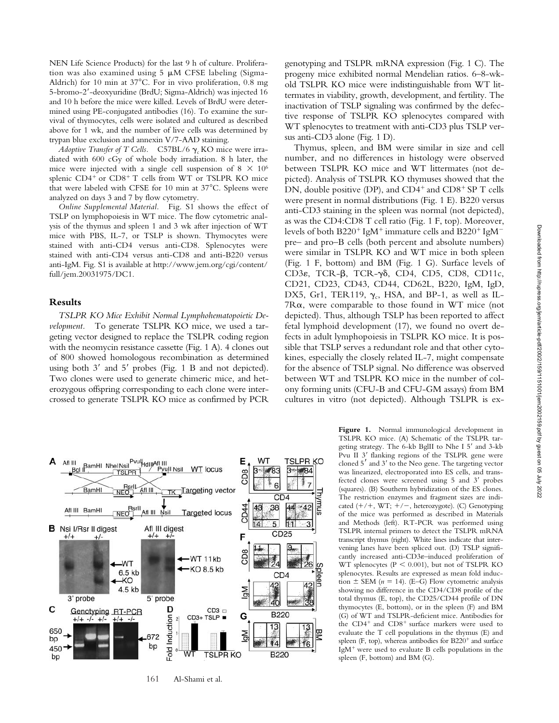NEN Life Science Products) for the last 9 h of culture. Proliferation was also examined using  $5 \mu M$  CFSE labeling (Sigma-Aldrich) for 10 min at  $37^{\circ}$ C. For in vivo proliferation, 0.8 mg 5-bromo-2-deoxyuridine (BrdU; Sigma-Aldrich) was injected 16 and 10 h before the mice were killed. Levels of BrdU were determined using PE-conjugated antibodies (16). To examine the survival of thymocytes, cells were isolated and cultured as described above for 1 wk, and the number of live cells was determined by trypan blue exclusion and annexin V/7-AAD staining.

*Adoptive Transfer of T Cells.* C57BL/6  $\gamma_c$  KO mice were irradiated with 600 cGy of whole body irradiation. 8 h later, the mice were injected with a single cell suspension of  $8 \times 10^6$ splenic CD4<sup>+</sup> or CD8<sup>+</sup> T cells from WT or TSLPR KO mice that were labeled with CFSE for 10 min at  $37^{\circ}$ C. Spleens were analyzed on days 3 and 7 by flow cytometry.

*Online Supplemental Material.* Fig. S1 shows the effect of TSLP on lymphopoiesis in WT mice. The flow cytometric analysis of the thymus and spleen 1 and 3 wk after injection of WT mice with PBS, IL-7, or TSLP is shown. Thymocytes were stained with anti-CD4 versus anti-CD8. Splenocytes were stained with anti-CD4 versus anti-CD8 and anti-B220 versus anti-IgM. Fig. S1 is available at http://www.jem.org/cgi/content/ full/jem.20031975/DC1.

## **Results**

*TSLPR KO Mice Exhibit Normal Lymphohematopoietic Development.* To generate TSLPR KO mice, we used a targeting vector designed to replace the TSLPR coding region with the neomycin resistance cassette (Fig. 1 A). 4 clones out of 800 showed homologous recombination as determined using both  $3'$  and  $5'$  probes (Fig. 1 B and not depicted). Two clones were used to generate chimeric mice, and heterozygous offspring corresponding to each clone were intercrossed to generate TSLPR KO mice as confirmed by PCR

genotyping and TSLPR mRNA expression (Fig. 1 C). The progeny mice exhibited normal Mendelian ratios. 6–8-wkold TSLPR KO mice were indistinguishable from WT littermates in viability, growth, development, and fertility. The inactivation of TSLP signaling was confirmed by the defective response of TSLPR KO splenocytes compared with WT splenocytes to treatment with anti-CD3 plus TSLP versus anti-CD3 alone (Fig. 1 D).

Thymus, spleen, and BM were similar in size and cell number, and no differences in histology were observed between TSLPR KO mice and WT littermates (not depicted). Analysis of TSLPR KO thymuses showed that the DN, double positive (DP), and CD4<sup>+</sup> and CD8<sup>+</sup> SP T cells were present in normal distributions (Fig. 1 E). B220 versus anti-CD3 staining in the spleen was normal (not depicted), as was the CD4:CD8 T cell ratio (Fig. 1 F, top). Moreover, levels of both  $B220^+$  IgM<sup>+</sup> immature cells and  $B220^+$  IgM<sup>-</sup> pre– and pro–B cells (both percent and absolute numbers) were similar in TSLPR KO and WT mice in both spleen (Fig. 1 F, bottom) and BM (Fig. 1 G). Surface levels of CD3 $\varepsilon$ , TCR- $\beta$ , TCR- $\gamma\delta$ , CD4, CD5, CD8, CD11c, CD21, CD23, CD43, CD44, CD62L, B220, IgM, IgD, DX5, Gr1, TER119,  $\gamma_c$ , HSA, and BP-1, as well as IL-7 $R\alpha$ , were comparable to those found in WT mice (not depicted). Thus, although TSLP has been reported to affect fetal lymphoid development (17), we found no overt defects in adult lymphopoiesis in TSLPR KO mice. It is possible that TSLP serves a redundant role and that other cytokines, especially the closely related IL-7, might compensate for the absence of TSLP signal. No difference was observed between WT and TSLPR KO mice in the number of colony forming units (CFU-B and CFU-GM assays) from BM cultures in vitro (not depicted). Although TSLPR is ex-



161 Al-Shami et al.

**Figure 1.** Normal immunological development in TSLPR KO mice. (A) Schematic of the TSLPR targeting strategy. The 6-kb BglII to Nhe I 5' and 3-kb Pvu II 3' flanking regions of the TSLPR gene were cloned  $5'$  and  $3'$  to the Neo gene. The targeting vector was linearized, electroporated into ES cells, and transfected clones were screened using 5 and 3' probes (squares). (B) Southern hybridization of the ES clones. The restriction enzymes and fragment sizes are indicated (+/+, WT; +/-, heterozygote). (C) Genotyping of the mice was performed as described in Materials and Methods (left). RT-PCR was performed using TSLPR internal primers to detect the TSLPR mRNA transcript thymus (right). White lines indicate that intervening lanes have been spliced out. (D) TSLP significantly increased anti-CD3 $\varepsilon$ -induced proliferation of WT splenocytes ( $P \le 0.001$ ), but not of TSLPR KO splenocytes. Results are expressed as mean fold induction  $\pm$  SEM ( $n = 14$ ). (E–G) Flow cytometric analysis showing no difference in the CD4/CD8 profile of the total thymus (E, top), the CD25/CD44 profile of DN thymocytes (E, bottom), or in the spleen (F) and BM (G) of WT and TSLPR-deficient mice. Antibodies for the CD4<sup>+</sup> and CD8<sup>+</sup> surface markers were used to evaluate the T cell populations in the thymus (E) and spleen (F, top), whereas antibodies for B220<sup>+</sup> and surface IgM- were used to evaluate B cells populations in the spleen (F, bottom) and BM (G).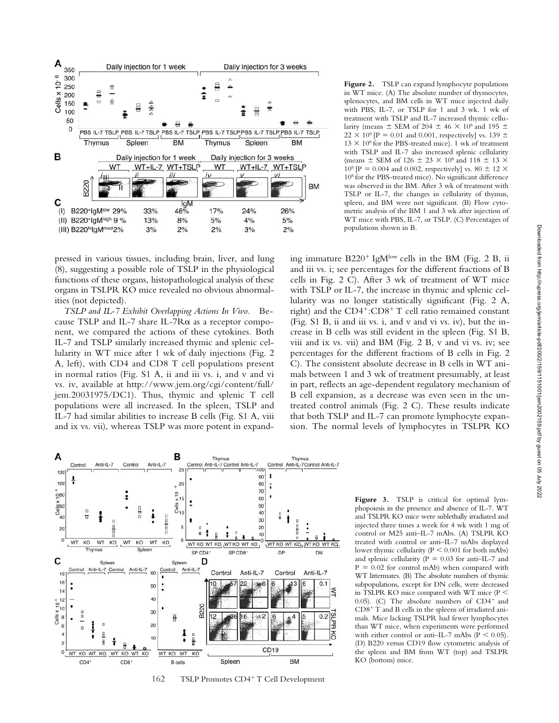

pressed in various tissues, including brain, liver, and lung (8), suggesting a possible role of TSLP in the physiological functions of these organs, histopathological analysis of these organs in TSLPR KO mice revealed no obvious abnormalities (not depicted).

*TSLP and IL-7 Exhibit Overlapping Actions In Vivo.* Because TSLP and IL-7 share IL-7 $R\alpha$  as a receptor component, we compared the actions of these cytokines. Both IL-7 and TSLP similarly increased thymic and splenic cellularity in WT mice after 1 wk of daily injections (Fig. 2 A, left), with CD4 and CD8 T cell populations present in normal ratios (Fig. S1 A, ii and iii vs. i, and v and vi vs. iv, available at http://www.jem.org/cgi/content/full/ jem.20031975/DC1). Thus, thymic and splenic T cell populations were all increased. In the spleen, TSLP and IL-7 had similar abilities to increase B cells (Fig. S1 A, viii and ix vs. vii), whereas TSLP was more potent in expandFigure 2. TSLP can expand lymphocyte populations in WT mice. (A) The absolute number of thymocytes, splenocytes, and BM cells in WT mice injected daily with PBS, IL-7, or TSLP for 1 and 3 wk. 1 wk of treatment with TSLP and IL-7 increased thymic cellularity (means  $\pm$  SEM of 204  $\pm$  46  $\times$  10<sup>6</sup> and 195  $\pm$  $22 \times 10^6$  [P = 0.01 and 0.001, respectively] vs. 139  $\pm$  $13 \times 10^6$  for the PBS-treated mice). 1 wk of treatment with TSLP and IL-7 also increased splenic cellularity (means  $\pm$  SEM of 126  $\pm$  23  $\times$  10<sup>6</sup> and 118  $\pm$  13  $\times$ 10<sup>6</sup> [P = 0.004 and 0.002, respectively] vs. 80  $\pm$  12  $\times$ 106 for the PBS-treated mice). No significant difference was observed in the BM. After 3 wk of treatment with TSLP or IL-7, the changes in cellularity of thymus, spleen, and BM were not significant. (B) Flow cytometric analysis of the BM 1 and 3 wk after injection of WT mice with PBS, IL-7, or TSLP. (C) Percentages of populations shown in B.

ing immature B220<sup>+</sup> IgM<sup>low</sup> cells in the BM (Fig. 2 B, ii and iii vs. i; see percentages for the different fractions of B cells in Fig. 2 C). After 3 wk of treatment of WT mice with TSLP or IL-7, the increase in thymic and splenic cellularity was no longer statistically significant (Fig. 2 A, right) and the CD4<sup>+</sup>:CD8<sup>+</sup> T cell ratio remained constant (Fig. S1 B, ii and iii vs. i, and v and vi vs. iv), but the increase in B cells was still evident in the spleen (Fig. S1 B, viii and ix vs. vii) and BM (Fig. 2 B, v and vi vs. iv; see percentages for the different fractions of B cells in Fig. 2 C). The consistent absolute decrease in B cells in WT animals between 1 and 3 wk of treatment presumably, at least in part, reflects an age-dependent regulatory mechanism of B cell expansion, as a decrease was even seen in the untreated control animals (Fig. 2 C). These results indicate that both TSLP and IL-7 can promote lymphocyte expansion. The normal levels of lymphocytes in TSLPR KO



162 TSLP Promotes CD4<sup>+</sup> T Cell Development

Figure 3. TSLP is critical for optimal lymphopoiesis in the presence and absence of IL-7. WT and TSLPR KO mice were sublethally irradiated and injected three times a week for 4 wk with 1 mg of control or M25 anti–IL-7 mAbs. (A) TSLPR KO treated with control or anti–IL-7 mAbs displayed lower thymic cellularity ( $P \le 0.001$  for both mAbs) and splenic cellularity ( $P = 0.03$  for anti-IL-7 and  $P = 0.02$  for control mAb) when compared with WT littermates. (B) The absolute numbers of thymic subpopulations, except for DN cells, were decreased in TSLPR KO mice compared with WT mice (P  $(0.05)$ . (C) The absolute numbers of CD4<sup>+</sup> and CD8- T and B cells in the spleens of irradiated animals. Mice lacking TSLPR had fewer lymphocytes than WT mice, when experiments were performed with either control or anti-IL-7 mAbs ( $P < 0.05$ ). (D) B220 versus CD19 flow cytometric analysis of the spleen and BM from WT (top) and TSLPR KO (bottom) mice.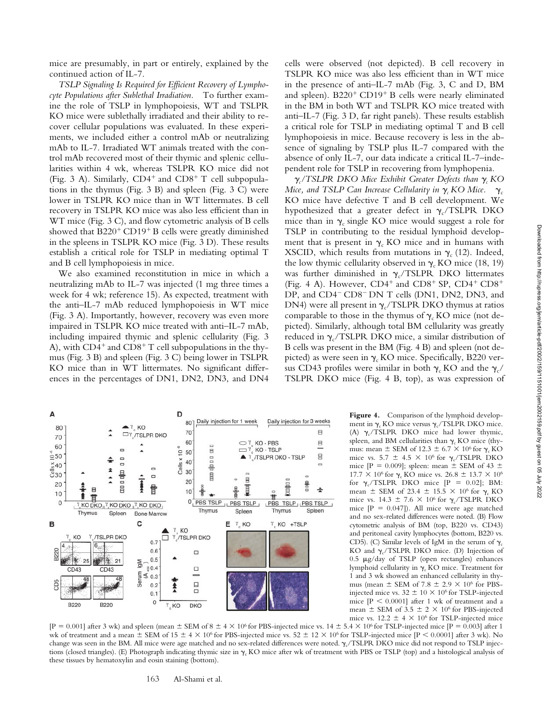mice are presumably, in part or entirely, explained by the continued action of IL-7.

*TSLP Signaling Is Required for Efficient Recovery of Lymphocyte Populations after Sublethal Irradiation.* To further examine the role of TSLP in lymphopoiesis, WT and TSLPR KO mice were sublethally irradiated and their ability to recover cellular populations was evaluated. In these experiments, we included either a control mAb or neutralizing mAb to IL-7. Irradiated WT animals treated with the control mAb recovered most of their thymic and splenic cellularities within 4 wk, whereas TSLPR KO mice did not (Fig. 3 A). Similarly,  $CD4^+$  and  $CD8^+$  T cell subpopulations in the thymus (Fig. 3 B) and spleen (Fig. 3 C) were lower in TSLPR KO mice than in WT littermates. B cell recovery in TSLPR KO mice was also less efficient than in WT mice (Fig. 3 C), and flow cytometric analysis of B cells showed that B220<sup>+</sup> CD19<sup>+</sup> B cells were greatly diminished in the spleens in TSLPR KO mice (Fig. 3 D). These results establish a critical role for TSLP in mediating optimal T and B cell lymphopoiesis in mice.

We also examined reconstitution in mice in which a neutralizing mAb to IL-7 was injected (1 mg three times a week for 4 wk; reference 15). As expected, treatment with the anti–IL-7 mAb reduced lymphopoiesis in WT mice (Fig. 3 A). Importantly, however, recovery was even more impaired in TSLPR KO mice treated with anti–IL-7 mAb, including impaired thymic and splenic cellularity (Fig. 3 A), with CD4<sup>+</sup> and CD8<sup>+</sup> T cell subpopulations in the thymus (Fig. 3 B) and spleen (Fig. 3 C) being lower in TSLPR KO mice than in WT littermates. No significant differences in the percentages of DN1, DN2, DN3, and DN4 cells were observed (not depicted). B cell recovery in TSLPR KO mice was also less efficient than in WT mice in the presence of anti–IL-7 mAb (Fig. 3, C and D, BM and spleen). B220<sup>+</sup> CD19<sup>+</sup> B cells were nearly eliminated in the BM in both WT and TSLPR KO mice treated with anti–IL-7 (Fig. 3 D, far right panels). These results establish a critical role for TSLP in mediating optimal T and B cell lymphopoiesis in mice. Because recovery is less in the absence of signaling by TSLP plus IL-7 compared with the absence of only IL-7, our data indicate a critical IL-7–independent role for TSLP in recovering from lymphopenia.

 $\gamma_c$ /TSLPR DKO Mice Exhibit Greater Defects than  $\gamma_c$ KO *Mice, and TSLP Can Increase Cellularity in*  $\gamma_c$  *KO Mice.*  $\gamma_c$ KO mice have defective T and B cell development. We hypothesized that a greater defect in  $\gamma_c$ /TSLPR DKO mice than in  $\gamma_c$  single KO mice would suggest a role for TSLP in contributing to the residual lymphoid development that is present in  $\gamma_c$  KO mice and in humans with XSCID, which results from mutations in  $\gamma_c$  (12). Indeed, the low thymic cellularity observed in  $\gamma_c$  KO mice (18, 19) was further diminished in  $\gamma_c/TSLPR$  DKO littermates (Fig. 4 A). However,  $CD4^+$  and  $CD8^+$  SP,  $CD4^+$   $CD8^+$ DP, and CD4<sup>-</sup> CD8<sup>-</sup> DN T cells (DN1, DN2, DN3, and DN4) were all present in  $\gamma_c$ /TSLPR DKO thymus at ratios comparable to those in the thymus of  $\gamma_c$  KO mice (not depicted). Similarly, although total BM cellularity was greatly reduced in  $\gamma_c$ /TSLPR DKO mice, a similar distribution of B cells was present in the BM (Fig. 4 B) and spleen (not depicted) as were seen in  $\gamma_c$  KO mice. Specifically, B220 versus CD43 profiles were similar in both  $\gamma_c$  KO and the  $\gamma_c$ / TSLPR DKO mice (Fig. 4 B, top), as was expression of

> **Figure 4.** Comparison of the lymphoid development in  $\gamma_c$  KO mice versus  $\gamma_c$ /TSLPR DKO mice. (A)  $\gamma_c$ /TSLPR DKO mice had lower thymic, spleen, and BM cellularities than  $\gamma_c$  KO mice (thymus: mean  $\pm$  SEM of 12.3  $\pm$  6.7  $\times$  10<sup>6</sup> for  $\gamma_c$  KO mice vs. 5.7  $\pm$  4.5  $\times$  10<sup>6</sup> for  $\gamma_c$ /TSLPR DKO mice [P = 0.009]; spleen: mean  $\pm$  SEM of 43  $\pm$ 17.7  $\times$  10<sup>6</sup> for  $\gamma_c$  KO mice vs. 26.8  $\pm$  13.7  $\times$  10<sup>6</sup> for  $\gamma_c$ /TSLPR DKO mice  $[P = 0.02]$ ; BM: mean  $\pm$  SEM of 23.4  $\pm$  15.5  $\times$  10<sup>6</sup> for  $\gamma_c$  KO mice vs. 14.3  $\pm$  7.6  $\times$  10<sup>6</sup> for  $\gamma_c$ /TSLPR DKO mice  $[P = 0.047]$ ). All mice were age matched and no sex-related differences were noted. (B) Flow cytometric analysis of BM (top, B220 vs. CD43) and peritoneal cavity lymphocytes (bottom, B220 vs. CD5). (C) Similar levels of IgM in the serum of  $\gamma_c$ KO and  $\gamma_c$ /TSLPR DKO mice. (D) Injection of  $0.5 \mu g/day$  of TSLP (open rectangles) enhances lymphoid cellularity in  $\gamma_c$  KO mice. Treatment for 1 and 3 wk showed an enhanced cellularity in thymus (mean  $\pm$  SEM of 7.8  $\pm$  2.9  $\times$  10<sup>6</sup> for PBSinjected mice vs.  $32 \pm 10 \times 10^6$  for TSLP-injected mice  $[P \le 0.0001]$  after 1 wk of treatment and a mean  $\pm$  SEM of 3.5  $\pm$  2  $\times$  10<sup>6</sup> for PBS-injected mice vs.  $12.2 \pm 4 \times 10^6$  for TSLP-injected mice

 $[P = 0.001]$  after 3 wk) and spleen (mean  $\pm$  SEM of 8  $\pm$  4  $\times$  10<sup>6</sup> for PBS-injected mice vs. 14  $\pm$  5.4  $\times$  10<sup>6</sup> for TSLP-injected mice  $[P = 0.003]$  after 1 wk of treatment and a mean  $\pm$  SEM of 15  $\pm$  4  $\times$  10<sup>6</sup> for PBS-injected mice vs. 52  $\pm$  12  $\times$  10<sup>6</sup> for TSLP-injected mice [P < 0.0001] after 3 wk). No change was seen in the BM. All mice were age matched and no sex-related differences were noted.  $\gamma_c$ /TSLPR DKO mice did not respond to TSLP injections (closed triangles). (E) Photograph indicating thymic size in  $\gamma_c$  KO mice after wk of treatment with PBS or TSLP (top) and a histological analysis of these tissues by hematoxylin and eosin staining (bottom).

#### 163 Al-Shami et al.

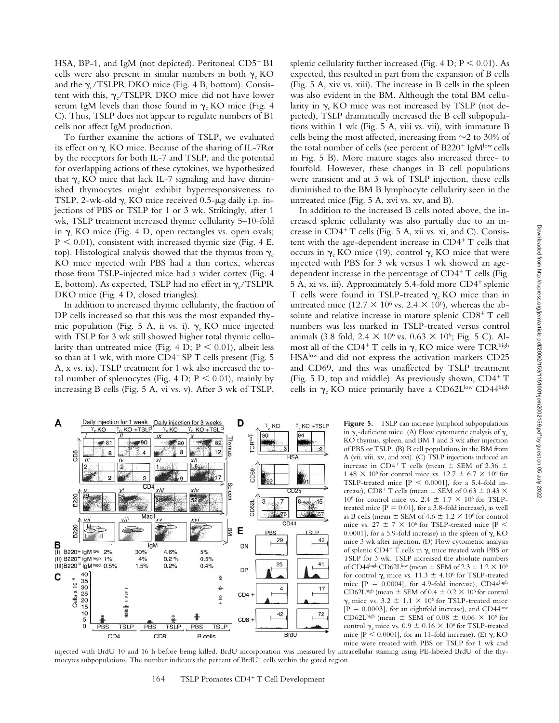HSA, BP-1, and IgM (not depicted). Peritoneal CD5<sup>+</sup> B1 cells were also present in similar numbers in both  $\gamma_c$  KO and the  $\gamma_c$ /TSLPR DKO mice (Fig. 4 B, bottom). Consistent with this,  $\gamma_c$ /TSLPR DKO mice did not have lower serum IgM levels than those found in  $\gamma_c$  KO mice (Fig. 4 C). Thus, TSLP does not appear to regulate numbers of B1 cells nor affect IgM production.

To further examine the actions of TSLP, we evaluated its effect on  $\gamma_c$  KO mice. Because of the sharing of IL-7R $\alpha$ by the receptors for both IL-7 and TSLP, and the potential for overlapping actions of these cytokines, we hypothesized that  $\gamma_c$  KO mice that lack IL-7 signaling and have diminished thymocytes might exhibit hyperresponsiveness to TSLP. 2-wk-old  $\gamma_c$  KO mice received 0.5- $\mu$ g daily i.p. injections of PBS or TSLP for 1 or 3 wk. Strikingly, after 1 wk, TSLP treatment increased thymic cellularity 5–10-fold in  $\gamma_c$  KO mice (Fig. 4 D, open rectangles vs. open ovals;  $P < 0.01$ ), consistent with increased thymic size (Fig. 4 E, top). Histological analysis showed that the thymus from  $\gamma_c$ KO mice injected with PBS had a thin cortex, whereas those from TSLP-injected mice had a wider cortex (Fig. 4 E, bottom). As expected, TSLP had no effect in  $\gamma_c$ /TSLPR DKO mice (Fig. 4 D, closed triangles).

In addition to increased thymic cellularity, the fraction of DP cells increased so that this was the most expanded thymic population (Fig. 5 A, ii vs. i).  $\gamma_c$  KO mice injected with TSLP for 3 wk still showed higher total thymic cellularity than untreated mice (Fig. 4 D;  $P < 0.01$ ), albeit less so than at 1 wk, with more CD4<sup>+</sup> SP T cells present (Fig. 5 A, x vs. ix). TSLP treatment for 1 wk also increased the total number of splenocytes (Fig. 4 D;  $P < 0.01$ ), mainly by increasing B cells (Fig. 5 A, vi vs. v). After 3 wk of TSLP,

splenic cellularity further increased (Fig. 4 D;  $P \le 0.01$ ). As expected, this resulted in part from the expansion of B cells (Fig. 5 A, xiv vs. xiii). The increase in B cells in the spleen was also evident in the BM. Although the total BM cellularity in  $\gamma_c$  KO mice was not increased by TSLP (not depicted), TSLP dramatically increased the B cell subpopulations within 1 wk (Fig. 5 A, viii vs. vii), with immature B cells being the most affected, increasing from  $\sim$ 2 to 30% of the total number of cells (see percent of B220<sup>+</sup> IgM<sup>low</sup> cells in Fig. 5 B). More mature stages also increased three- to fourfold. However, these changes in B cell populations were transient and at 3 wk of TSLP injection, these cells diminished to the BM B lymphocyte cellularity seen in the untreated mice (Fig. 5 A, xvi vs. xv, and B).

In addition to the increased B cells noted above, the increased splenic cellularity was also partially due to an increase in CD4<sup>+</sup> T cells (Fig. 5 A, xii vs. xi, and C). Consistent with the age-dependent increase in  $CD4^+$  T cells that occurs in  $\gamma_c$  KO mice (19), control  $\gamma_c$  KO mice that were injected with PBS for 3 wk versus 1 wk showed an agedependent increase in the percentage of CD4<sup>+</sup> T cells (Fig. 5 A, xi vs. iii). Approximately 5.4-fold more CD4<sup>+</sup> splenic T cells were found in TSLP-treated  $\gamma_c$  KO mice than in untreated mice (12.7  $\times$  10<sup>6</sup> vs. 2.4  $\times$  10<sup>6</sup>), whereas the absolute and relative increase in mature splenic CD8+ T cell numbers was less marked in TSLP-treated versus control animals (3.8 fold,  $2.4 \times 10^6$  vs.  $0.63 \times 10^6$ ; Fig. 5 C). Almost all of the CD4<sup>+</sup> T cells in  $\gamma_c$  KO mice were TCR <sup>high</sup> HSAlow and did not express the activation markers CD25 and CD69, and this was unaffected by TSLP treatment (Fig. 5 D, top and middle). As previously shown, CD4+ T cells in  $\gamma_c$  KO mice primarily have a CD62Llow CD44high



Figure 5. TSLP can increase lymphoid subpopulations in  $\gamma_c$ -deficient mice. (A) Flow cytometric analysis of  $\gamma_c$ KO thymus, spleen, and BM 1 and 3 wk after injection of PBS or TSLP. (B) B cell populations in the BM from A (vii, viii, xv, and xvi). (C) TSLP injections induced an increase in CD4<sup>+</sup> T cells (mean  $\pm$  SEM of 2.36  $\pm$ 1.48  $\times$  10<sup>6</sup> for control mice vs. 12.7  $\pm$  6.7  $\times$  10<sup>6</sup> for TSLP-treated mice  $[P \le 0.0001]$ , for a 5.4-fold increase), CD8<sup>+</sup> T cells (mean  $\pm$  SEM of 0.63  $\pm$  0.43  $\times$ 10<sup>6</sup> for control mice vs. 2.4  $\pm$  1.7  $\times$  10<sup>6</sup> for TSLPtreated mice  $[P = 0.01]$ , for a 3.8-fold increase), as well as B cells (mean  $\pm$  SEM of 4.6  $\pm$  1.2  $\times$  10<sup>6</sup> for control mice vs. 27  $\pm$  7  $\times$  10<sup>6</sup> for TSLP-treated mice [P  $<$ 0.0001], for a 5.9-fold increase) in the spleen of  $\gamma_c$  KO mice 3 wk after injection. (D) Flow cytometric analysis of splenic CD4<sup>+</sup> T cells in  $\gamma_c$  mice treated with PBS or TSLP for 3 wk. TSLP increased the absolute numbers of CD44high CD62Llow (mean  $\pm$  SEM of 2.3  $\pm$  1.2  $\times$  10<sup>6</sup> for control  $\gamma_c$  mice vs. 11.3  $\pm$  4.10<sup>6</sup> for TSLP-treated mice  $[P = 0.0004]$ , for 4.9-fold increase), CD44high CD62Lhigh (mean  $\pm$  SEM of 0.4  $\pm$  0.2  $\times$  10<sup>6</sup> for control  $\gamma_c$  mice vs. 3.2  $\pm$  1.1  $\times$  10<sup>6</sup> for TSLP-treated mice  $[P = 0.0003]$ , for an eightfold increase), and CD44<sup>low</sup> CD62Lhigh (mean  $\pm$  SEM of 0.08  $\pm$  0.06  $\times$  10<sup>6</sup> for control  $\gamma_c$  mice vs.  $0.9 \pm 0.16 \times 10^6$  for TSLP-treated mice  $[P \le 0.0001]$ , for an 11-fold increase). (E)  $\gamma_c$  KO mice were treated with PBS or TSLP for 1 wk and

injected with BrdU 10 and 16 h before being killed. BrdU incorporation was measured by intracellular staining using PE-labeled BrdU of the thymocytes subpopulations. The number indicates the percent of BrdU<sup>+</sup> cells within the gated region.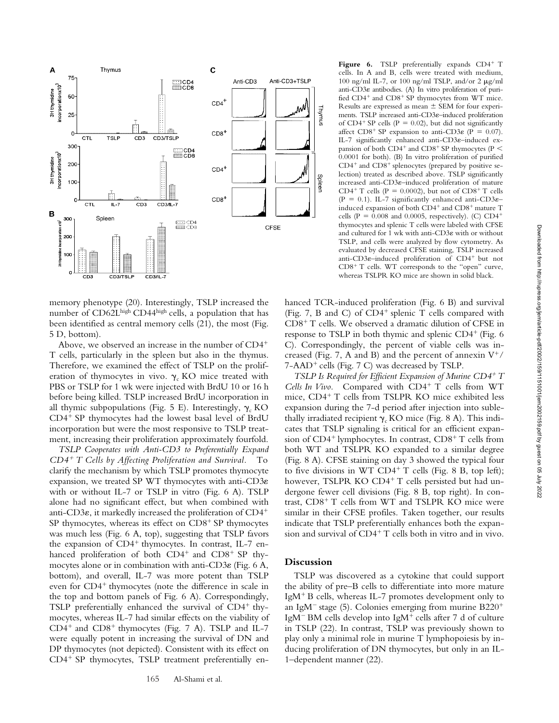

memory phenotype (20). Interestingly, TSLP increased the number of CD62Lhigh CD44high cells, a population that has been identified as central memory cells (21), the most (Fig. 5 D, bottom).

Above, we observed an increase in the number of CD4- T cells, particularly in the spleen but also in the thymus. Therefore, we examined the effect of TSLP on the proliferation of thymocytes in vivo.  $\gamma_c$  KO mice treated with PBS or TSLP for 1 wk were injected with BrdU 10 or 16 h before being killed. TSLP increased BrdU incorporation in all thymic subpopulations (Fig. 5 E). Interestingly,  $\gamma_c$  KO CD4- SP thymocytes had the lowest basal level of BrdU incorporation but were the most responsive to TSLP treatment, increasing their proliferation approximately fourfold.

*TSLP Cooperates with Anti-CD3 to Preferentially Expand CD4*- *T Cells by Affecting Proliferation and Survival.* To clarify the mechanism by which TSLP promotes thymocyte expansion, we treated SP WT thymocytes with anti-CD3 $\varepsilon$ with or without IL-7 or TSLP in vitro (Fig. 6 A). TSLP alone had no significant effect, but when combined with anti-CD3 $\varepsilon$ , it markedly increased the proliferation of CD4<sup>+</sup> SP thymocytes, whereas its effect on CD8<sup>+</sup> SP thymocytes was much less (Fig. 6 A, top), suggesting that TSLP favors the expansion of CD4<sup>+</sup> thymocytes. In contrast, IL-7 enhanced proliferation of both CD4<sup>+</sup> and CD8<sup>+</sup> SP thymocytes alone or in combination with anti-CD3 $\varepsilon$  (Fig. 6 A, bottom), and overall, IL-7 was more potent than TSLP even for CD4<sup>+</sup> thymocytes (note the difference in scale in the top and bottom panels of Fig. 6 A). Correspondingly, TSLP preferentially enhanced the survival of CD4<sup>+</sup> thymocytes, whereas IL-7 had similar effects on the viability of CD4<sup>+</sup> and CD8<sup>+</sup> thymocytes (Fig. 7 A). TSLP and IL-7 were equally potent in increasing the survival of DN and DP thymocytes (not depicted). Consistent with its effect on CD4<sup>+</sup> SP thymocytes, TSLP treatment preferentially en-

Figure 6. TSLP preferentially expands CD4<sup>+</sup> T cells. In A and B, cells were treated with medium, 100 ng/ml IL-7, or 100 ng/ml TSLP, and/or 2  $\mu$ g/ml anti-CD3 $\varepsilon$  antibodies. (A) In vitro proliferation of purified CD4<sup>+</sup> and CD8<sup>+</sup> SP thymocytes from WT mice. Results are expressed as mean  $\pm$  SEM for four experiments. TSLP increased anti-CD3 $\varepsilon$ -induced proliferation of  $CD4$ <sup>+</sup> SP cells (P = 0.02), but did not significantly affect CD8<sup>+</sup> SP expansion to anti-CD3 $\varepsilon$  (P = 0.07). IL-7 significantly enhanced anti-CD3 $\varepsilon$ -induced expansion of both  $CD4^+$  and  $CD8^+$  SP thymocytes (P  $\leq$ 0.0001 for both). (B) In vitro proliferation of purified CD4<sup>+</sup> and CD8<sup>+</sup> splenocytes (prepared by positive selection) treated as described above. TSLP significantly increased anti-CD3 $\varepsilon$ -induced proliferation of mature CD4<sup>+</sup> T cells (P = 0.0002), but not of CD8<sup>+</sup> T cells (P = 0.1). IL-7 significantly enhanced anti-CD3 $\varepsilon$ induced expansion of both CD4<sup>+</sup> and CD8<sup>+</sup> mature T cells (P =  $0.008$  and 0.0005, respectively). (C) CD4<sup>+</sup> thymocytes and splenic T cells were labeled with CFSE and cultured for 1 wk with anti-CD3 $\varepsilon$  with or without TSLP, and cells were analyzed by flow cytometry. As evaluated by decreased CFSE staining, TSLP increased anti-CD3 $\varepsilon$ -induced proliferation of CD4<sup>+</sup> but not CD8<sup>+</sup> T cells. WT corresponds to the "open" curve, whereas TSLPR KO mice are shown in solid black.

hanced TCR-induced proliferation (Fig. 6 B) and survival (Fig. 7, B and C) of CD4<sup>+</sup> splenic T cells compared with CD8- T cells. We observed a dramatic dilution of CFSE in response to TSLP in both thymic and splenic CD4<sup>+</sup> (Fig. 6 C). Correspondingly, the percent of viable cells was increased (Fig. 7, A and B) and the percent of annexin  $V^+$ / 7-AAD<sup>+</sup> cells (Fig. 7 C) was decreased by TSLP.

TSLP Is Required for Efficient Expansion of Murine CD4<sup>+</sup> T Cells In Vivo. Compared with CD4<sup>+</sup> T cells from WT mice, CD4- T cells from TSLPR KO mice exhibited less expansion during the 7-d period after injection into sublethally irradiated recipient  $\gamma_c$  KO mice (Fig. 8 A). This indicates that TSLP signaling is critical for an efficient expansion of CD4<sup>+</sup> lymphocytes. In contrast, CD8<sup>+</sup> T cells from both WT and TSLPR KO expanded to a similar degree (Fig. 8 A). CFSE staining on day 3 showed the typical four to five divisions in WT CD4<sup>+</sup> T cells (Fig. 8 B, top left); however, TSLPR KO CD4<sup>+</sup> T cells persisted but had undergone fewer cell divisions (Fig. 8 B, top right). In contrast, CD8<sup>+</sup> T cells from WT and TSLPR KO mice were similar in their CFSE profiles. Taken together, our results indicate that TSLP preferentially enhances both the expansion and survival of CD4<sup>+</sup> T cells both in vitro and in vivo.

# **Discussion**

TSLP was discovered as a cytokine that could support the ability of pre–B cells to differentiate into more mature IgM- B cells, whereas IL-7 promotes development only to an IgM<sup>-</sup> stage (5). Colonies emerging from murine  $B220^+$ IgM<sup>-</sup>BM cells develop into IgM<sup>+</sup> cells after 7 d of culture in TSLP (22). In contrast, TSLP was previously shown to play only a minimal role in murine T lymphopoiesis by inducing proliferation of DN thymocytes, but only in an IL-1–dependent manner (22).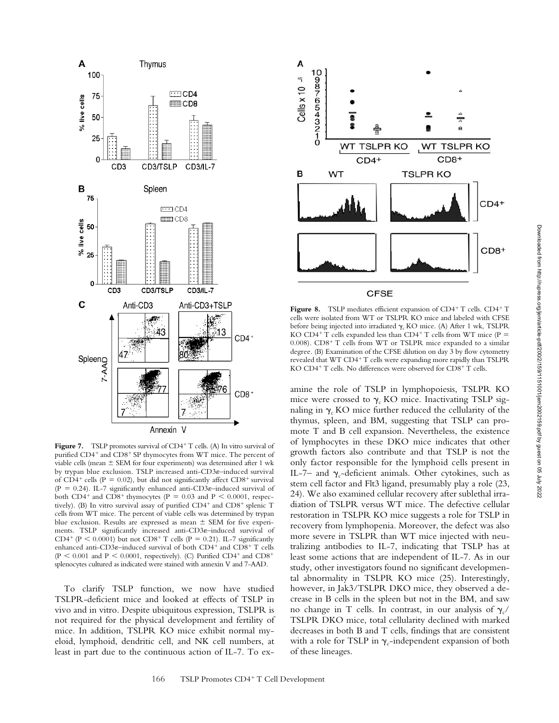

Figure 7. TSLP promotes survival of CD4<sup>+</sup> T cells. (A) In vitro survival of purified CD4<sup>+</sup> and CD8<sup>+</sup> SP thymocytes from WT mice. The percent of viable cells (mean  $\pm$  SEM for four experiments) was determined after 1 wk by trypan blue exclusion. TSLP increased anti-CD3 $\varepsilon$ -induced survival of  $CD4^+$  cells (P = 0.02), but did not significantly affect  $CD8^+$  survival (P = 0.24). IL-7 significantly enhanced anti-CD3 $\varepsilon$ -induced survival of both CD4<sup>+</sup> and CD8<sup>+</sup> thymocytes (P = 0.03 and P < 0.0001, respectively). (B) In vitro survival assay of purified CD4<sup>+</sup> and CD8<sup>+</sup> splenic T cells from WT mice. The percent of viable cells was determined by trypan blue exclusion. Results are expressed as mean  $\pm$  SEM for five experiments. TSLP significantly increased anti-CD3 $\varepsilon$ -induced survival of CD4<sup>+</sup> (P < 0.0001) but not CD8<sup>+</sup> T cells (P = 0.21). IL-7 significantly enhanced anti-CD3 $\varepsilon$ -induced survival of both CD4<sup>+</sup> and CD8<sup>+</sup> T cells  $(P < 0.001$  and  $P < 0.0001$ , respectively). (C) Purified CD4<sup>+</sup> and CD8<sup>+</sup> splenocytes cultured as indicated were stained with annexin V and 7-AAD.

To clarify TSLP function, we now have studied TSLPR-deficient mice and looked at effects of TSLP in vivo and in vitro. Despite ubiquitous expression, TSLPR is not required for the physical development and fertility of mice. In addition, TSLPR KO mice exhibit normal myeloid, lymphoid, dendritic cell, and NK cell numbers, at least in part due to the continuous action of IL-7. To ex-



Figure 8. TSLP mediates efficient expansion of CD4<sup>+</sup> T cells. CD4<sup>+</sup> T cells were isolated from WT or TSLPR KO mice and labeled with CFSE before being injected into irradiated  $\gamma_c$  KO mice. (A) After 1 wk, TSLPR KO CD4<sup>+</sup> T cells expanded less than CD4<sup>+</sup> T cells from WT mice (P = 0.008). CD8<sup>+</sup> T cells from WT or TSLPR mice expanded to a similar degree. (B) Examination of the CFSE dilution on day 3 by flow cytometry revealed that WT CD4<sup>+</sup> T cells were expanding more rapidly than TSLPR KO CD4<sup>+</sup> T cells. No differences were observed for CD8<sup>+</sup> T cells.

amine the role of TSLP in lymphopoiesis, TSLPR KO mice were crossed to  $\gamma_c$  KO mice. Inactivating TSLP signaling in  $\gamma_c$  KO mice further reduced the cellularity of the thymus, spleen, and BM, suggesting that TSLP can promote T and B cell expansion. Nevertheless, the existence of lymphocytes in these DKO mice indicates that other growth factors also contribute and that TSLP is not the only factor responsible for the lymphoid cells present in IL-7– and  $\gamma_c$ -deficient animals. Other cytokines, such as stem cell factor and Flt3 ligand, presumably play a role (23, 24). We also examined cellular recovery after sublethal irradiation of TSLPR versus WT mice. The defective cellular restoration in TSLPR KO mice suggests a role for TSLP in recovery from lymphopenia. Moreover, the defect was also more severe in TSLPR than WT mice injected with neutralizing antibodies to IL-7, indicating that TSLP has at least some actions that are independent of IL-7. As in our study, other investigators found no significant developmental abnormality in TSLPR KO mice (25). Interestingly, however, in Jak3/TSLPR DKO mice, they observed a decrease in B cells in the spleen but not in the BM, and saw no change in T cells. In contrast, in our analysis of  $\gamma_c$ TSLPR DKO mice, total cellularity declined with marked decreases in both B and T cells, findings that are consistent with a role for TSLP in  $\gamma_c$ -independent expansion of both of these lineages.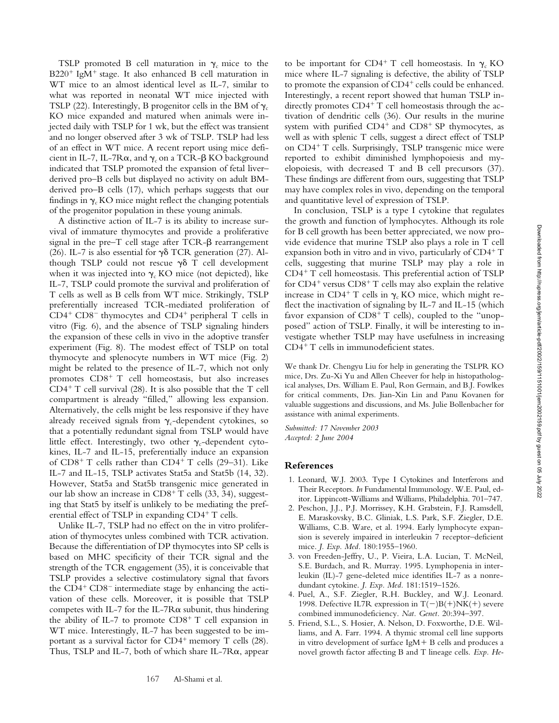TSLP promoted B cell maturation in  $\gamma_c$  mice to the B220<sup>+</sup> IgM<sup>+</sup> stage. It also enhanced B cell maturation in WT mice to an almost identical level as IL-7, similar to what was reported in neonatal WT mice injected with TSLP (22). Interestingly, B progenitor cells in the BM of  $\gamma_c$ KO mice expanded and matured when animals were injected daily with TSLP for 1 wk, but the effect was transient and no longer observed after 3 wk of TSLP. TSLP had less of an effect in WT mice. A recent report using mice deficient in IL-7, IL-7 $R\alpha$ , and  $\gamma_c$  on a TCR- $\beta$  KO background indicated that TSLP promoted the expansion of fetal liver– derived pro–B cells but displayed no activity on adult BMderived pro–B cells (17), which perhaps suggests that our findings in  $\gamma_c$  KO mice might reflect the changing potentials of the progenitor population in these young animals.

A distinctive action of IL-7 is its ability to increase survival of immature thymocytes and provide a proliferative signal in the pre- $T$  cell stage after  $TCR-\beta$  rearrangement (26). IL-7 is also essential for  $\gamma\delta$  TCR generation (27). Although TSLP could not rescue  $\gamma\delta$  T cell development when it was injected into  $\gamma_c$  KO mice (not depicted), like IL-7, TSLP could promote the survival and proliferation of T cells as well as B cells from WT mice. Strikingly, TSLP preferentially increased TCR-mediated proliferation of CD4<sup>+</sup> CD8<sup>-</sup> thymocytes and CD4<sup>+</sup> peripheral T cells in vitro (Fig. 6), and the absence of TSLP signaling hinders the expansion of these cells in vivo in the adoptive transfer experiment (Fig. 8). The modest effect of TSLP on total thymocyte and splenocyte numbers in WT mice (Fig. 2) might be related to the presence of IL-7, which not only promotes CD8<sup>+</sup> T cell homeostasis, but also increases CD4- T cell survival (28). It is also possible that the T cell compartment is already "filled," allowing less expansion. Alternatively, the cells might be less responsive if they have already received signals from  $\gamma_c$ -dependent cytokines, so that a potentially redundant signal from TSLP would have little effect. Interestingly, two other  $\gamma_c$ -dependent cytokines, IL-7 and IL-15, preferentially induce an expansion of CD8<sup>+</sup> T cells rather than CD4<sup>+</sup> T cells (29–31). Like IL-7 and IL-15, TSLP activates Stat5a and Stat5b (14, 32). However, Stat5a and Stat5b transgenic mice generated in our lab show an increase in CD8<sup>+</sup> T cells (33, 34), suggesting that Stat5 by itself is unlikely to be mediating the preferential effect of TSLP in expanding CD4+ T cells.

Unlike IL-7, TSLP had no effect on the in vitro proliferation of thymocytes unless combined with TCR activation. Because the differentiation of DP thymocytes into SP cells is based on MHC specificity of their TCR signal and the strength of the TCR engagement (35), it is conceivable that TSLP provides a selective costimulatory signal that favors the CD4<sup>+</sup> CD8<sup>-</sup> intermediate stage by enhancing the activation of these cells. Moreover, it is possible that TSLP competes with IL-7 for the IL-7 $R\alpha$  subunit, thus hindering the ability of IL-7 to promote  $CD8^+$  T cell expansion in WT mice. Interestingly, IL-7 has been suggested to be important as a survival factor for CD4<sup>+</sup> memory T cells (28). Thus, TSLP and IL-7, both of which share IL-7 $R\alpha$ , appear

to be important for CD4<sup>+</sup> T cell homeostasis. In  $\gamma_c$  KO mice where IL-7 signaling is defective, the ability of TSLP to promote the expansion of CD4<sup>+</sup> cells could be enhanced. Interestingly, a recent report showed that human TSLP indirectly promotes CD4<sup>+</sup> T cell homeostasis through the activation of dendritic cells (36). Our results in the murine system with purified CD4<sup>+</sup> and CD8<sup>+</sup> SP thymocytes, as well as with splenic T cells, suggest a direct effect of TSLP on CD4- T cells. Surprisingly, TSLP transgenic mice were reported to exhibit diminished lymphopoiesis and myelopoiesis, with decreased T and B cell precursors (37). These findings are different from ours, suggesting that TSLP may have complex roles in vivo, depending on the temporal and quantitative level of expression of TSLP.

In conclusion, TSLP is a type I cytokine that regulates the growth and function of lymphocytes. Although its role for B cell growth has been better appreciated, we now provide evidence that murine TSLP also plays a role in T cell expansion both in vitro and in vivo, particularly of CD4<sup>+</sup>T cells, suggesting that murine TSLP may play a role in CD4- T cell homeostasis. This preferential action of TSLP for CD4<sup>+</sup> versus CD8<sup>+</sup> T cells may also explain the relative increase in CD4<sup>+</sup> T cells in  $\gamma_c$  KO mice, which might reflect the inactivation of signaling by IL-7 and IL-15 (which favor expansion of CD8<sup>+</sup> T cells), coupled to the "unopposed" action of TSLP. Finally, it will be interesting to investigate whether TSLP may have usefulness in increasing CD4- T cells in immunodeficient states.

We thank Dr. Chengyu Liu for help in generating the TSLPR KO mice, Drs. Zu-Xi Yu and Allen Cheever for help in histopathological analyses, Drs. William E. Paul, Ron Germain, and B.J. Fowlkes for critical comments, Drs. Jian-Xin Lin and Panu Kovanen for valuable suggestions and discussions, and Ms. Julie Bollenbacher for assistance with animal experiments.

*Submitted: 17 November 2003 Accepted: 2 June 2004*

# **References**

- 1. Leonard, W.J. 2003. Type I Cytokines and Interferons and Their Receptors. *In* Fundamental Immunology. W.E. Paul, editor. Lippincott-Williams and Williams, Philadelphia. 701–747.
- 2. Peschon, J.J., P.J. Morrissey, K.H. Grabstein, F.J. Ramsdell, E. Maraskovsky, B.C. Gliniak, L.S. Park, S.F. Ziegler, D.E. Williams, C.B. Ware, et al. 1994. Early lymphocyte expansion is severely impaired in interleukin 7 receptor–deficient mice. *J. Exp. Med.* 180:1955–1960.
- 3. von Freeden-Jeffry, U., P. Vieira, L.A. Lucian, T. McNeil, S.E. Burdach, and R. Murray. 1995. Lymphopenia in interleukin (IL)-7 gene-deleted mice identifies IL-7 as a nonredundant cytokine. *J. Exp. Med.* 181:1519–1526.
- 4. Puel, A., S.F. Ziegler, R.H. Buckley, and W.J. Leonard. 1998. Defective IL7R expression in  $T(-)B(+)NK(+)$  severe combined immunodeficiency. *Nat. Genet.* 20:394–397.
- 5. Friend, S.L., S. Hosier, A. Nelson, D. Foxworthe, D.E. Williams, and A. Farr. 1994. A thymic stromal cell line supports in vitro development of surface IgM- B cells and produces a novel growth factor affecting B and T lineage cells. *Exp. He-*